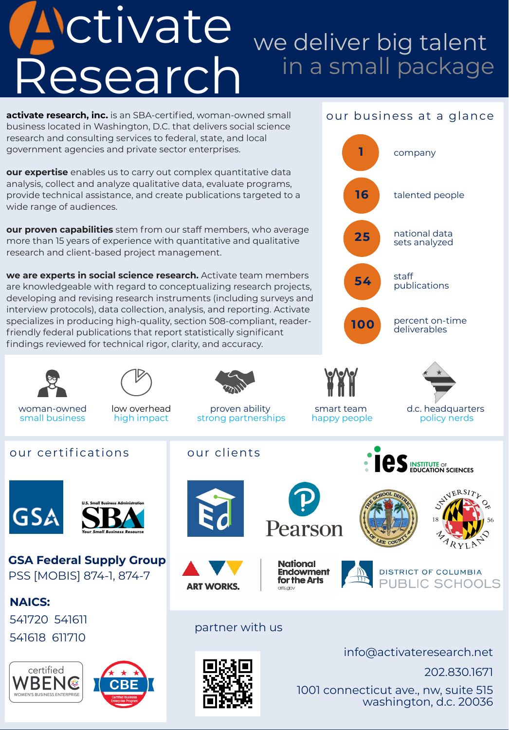# ctivate Research we deliver big talent in a small package

202.830.1671

1001 connecticut ave., nw, suite 515 washington, d.c. 20036





partner with us

**ART WORKS.** 

National

arts.gov

**Endowment** 

for the Arts

info@activateresearch.net

**DISTRICT OF COLUMBIA** 

PUBLIC SCHOOLS

#### **NAICS:**

541720 541611 541618 611710

**activate research, inc.** is an SBA-certified, woman-owned small business located in Washington, D.C. that delivers social science research and consulting services to federal, state, and local government agencies and private sector enterprises.

**our expertise** enables us to carry out complex quantitative data analysis, collect and analyze qualitative data, evaluate programs, provide technical assistance, and create publications targeted to a wide range of audiences.

developing and revising research instruments (including surveys and **we are experts in social science research.** Activate team members are knowledgeable with regard to conceptualizing research projects, interview protocols), data collection, analysis, and reporting. Activate specializes in producing high-quality, section 508-compliant, readerfriendly federal publications that report statistically significant findings reviewed for technical rigor, clarity, and accuracy.

**our proven capabilities** stem from our staff members, who average more than 15 years of experience with quantitative and qualitative research and client-based project management.



**GSA Federal Supply Group** PSS [MOBIS] 874-1, 874-7